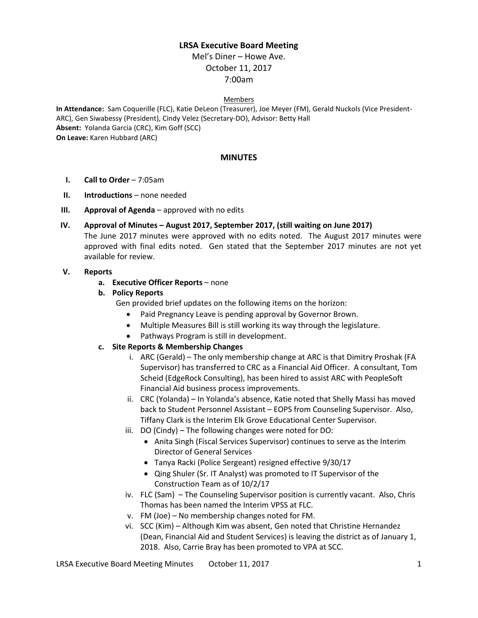## **LRSA Executive Board Meeting**

Mel's Diner – Howe Ave. October 11, 2017 7:00am

# Members

**In Attendance:** Sam Coquerille (FLC), Katie DeLeon (Treasurer), Joe Meyer (FM), Gerald Nuckols (Vice President-ARC), Gen Siwabessy (President), Cindy Velez (Secretary-DO), Advisor: Betty Hall **Absent:** Yolanda Garcia (CRC), Kim Goff (SCC) **On Leave:** Karen Hubbard (ARC)

#### **MINUTES**

- **I. Call to Order** 7:05am
- **II. Introductions** none needed
- **III. Approval of Agenda** approved with no edits
- **IV. Approval of Minutes – August 2017, September 2017, (still waiting on June 2017)**

The June 2017 minutes were approved with no edits noted. The August 2017 minutes were approved with final edits noted. Gen stated that the September 2017 minutes are not yet available for review.

#### **V. Reports**

- **a. Executive Officer Reports**  none
- **b. Policy Reports**

Gen provided brief updates on the following items on the horizon:

- Paid Pregnancy Leave is pending approval by Governor Brown.
- Multiple Measures Bill is still working its way through the legislature.
- Pathways Program is still in development.

### **c. Site Reports & Membership Changes**

- i. ARC (Gerald) The only membership change at ARC is that Dimitry Proshak (FA Supervisor) has transferred to CRC as a Financial Aid Officer. A consultant, Tom Scheid (EdgeRock Consulting), has been hired to assist ARC with PeopleSoft Financial Aid business process improvements.
- ii. CRC (Yolanda) In Yolanda's absence, Katie noted that Shelly Massi has moved back to Student Personnel Assistant – EOPS from Counseling Supervisor. Also, Tiffany Clark is the Interim Elk Grove Educational Center Supervisor.
- iii. DO (Cindy) The following changes were noted for DO:
	- Anita Singh (Fiscal Services Supervisor) continues to serve as the Interim Director of General Services
	- Tanya Racki (Police Sergeant) resigned effective 9/30/17
	- Qing Shuler (Sr. IT Analyst) was promoted to IT Supervisor of the Construction Team as of 10/2/17
- iv. FLC (Sam) The Counseling Supervisor position is currently vacant. Also, Chris Thomas has been named the Interim VPSS at FLC.
- v. FM (Joe) No membership changes noted for FM.
- vi. SCC (Kim) Although Kim was absent, Gen noted that Christine Hernandez (Dean, Financial Aid and Student Services) is leaving the district as of January 1, 2018. Also, Carrie Bray has been promoted to VPA at SCC.